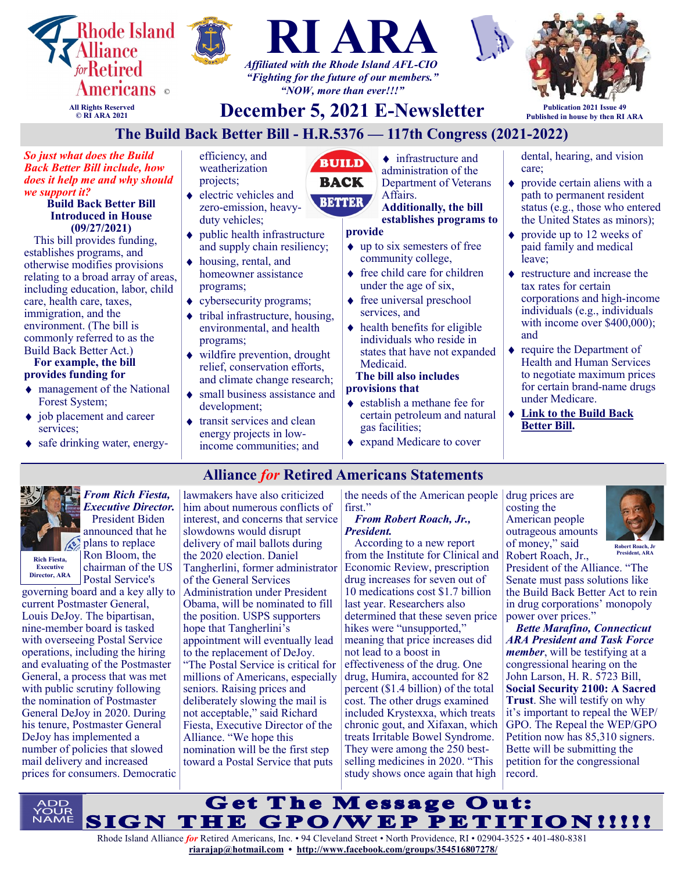

## **Alliance** *for* **Retired Americans Statements**



**Executive Director, ARA**

*From Rich Fiesta, Executive Director.* President Biden announced that he plans to replace Ron Bloom, the chairman of the US Postal Service's

governing board and a key ally to current Postmaster General, Louis DeJoy. The bipartisan, nine-member board is tasked with overseeing Postal Service operations, including the hiring and evaluating of the Postmaster General, a process that was met with public scrutiny following the nomination of Postmaster General DeJoy in 2020. During his tenure, Postmaster General DeJoy has implemented a number of policies that slowed mail delivery and increased prices for consumers. Democratic

lawmakers have also criticized him about numerous conflicts of interest, and concerns that service slowdowns would disrupt delivery of mail ballots during the 2020 election. Daniel Tangherlini, former administrator of the General Services Administration under President Obama, will be nominated to fill the position. USPS supporters hope that Tangherlini's appointment will eventually lead to the replacement of DeJoy. "The Postal Service is critical for millions of Americans, especially seniors. Raising prices and deliberately slowing the mail is not acceptable," said Richard Fiesta, Executive Director of the Alliance. "We hope this nomination will be the first step toward a Postal Service that puts

the needs of the American people first."

#### *From Robert Roach, Jr., President.*

According to a new report from the Institute for Clinical and Economic Review, prescription drug increases for seven out of 10 medications cost \$1.7 billion last year. Researchers also determined that these seven price hikes were "unsupported," meaning that price increases did not lead to a boost in effectiveness of the drug. One drug, Humira, accounted for 82 percent (\$1.4 billion) of the total cost. The other drugs examined included Krystexxa, which treats chronic gout, and Xifaxan, which treats Irritable Bowel Syndrome. They were among the 250 bestselling medicines in 2020. "This study shows once again that high

drug prices are costing the American people outrageous amounts of money," said Robert Roach, Jr.,

President of the Alliance. "The Senate must pass solutions like the Build Back Better Act to rein in drug corporations' monopoly power over prices."

**Robert Roach, Jr President, ARA**

*Bette Marafino, Connecticut ARA President and Task Force member*, will be testifying at a congressional hearing on the John Larson, H. R. 5723 Bill, **Social Security 2100: A Sacred Trust**. She will testify on why it's important to repeal the WEP/ GPO. The Repeal the WEP/GPO Petition now has 85,310 signers. Bette will be submitting the petition for the congressional record.

Get The Message Out: SIGN THE GPO/WEP PETITION!!!!!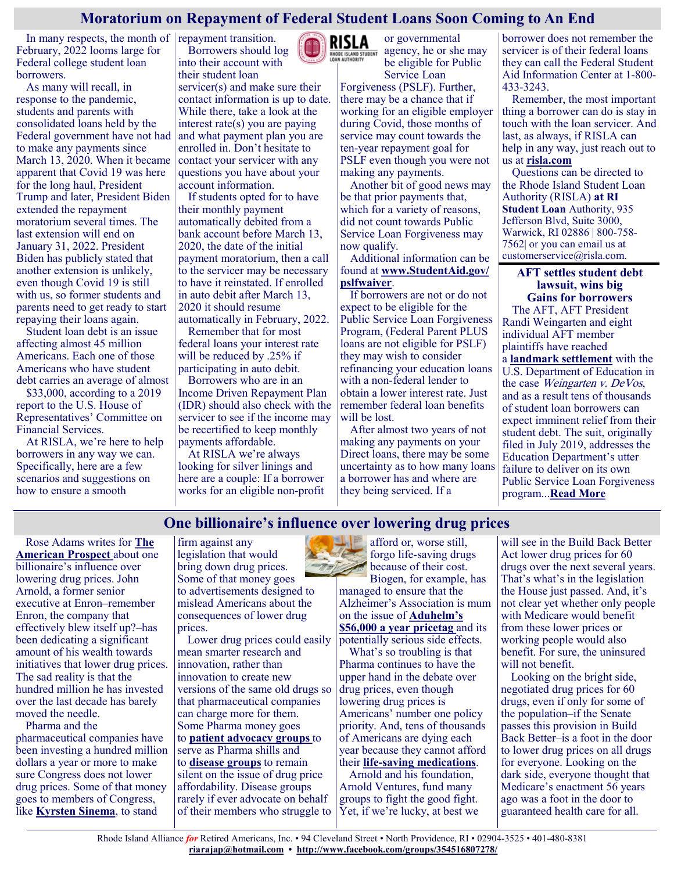## **Moratorium on Repayment of Federal Student Loans Soon Coming to An End**

In many respects, the month of repayment transition. February, 2022 looms large for Federal college student loan borrowers.

As many will recall, in response to the pandemic, students and parents with consolidated loans held by the Federal government have not had to make any payments since March 13, 2020. When it became apparent that Covid 19 was here for the long haul, President Trump and later, President Biden extended the repayment moratorium several times. The last extension will end on January 31, 2022. President Biden has publicly stated that another extension is unlikely, even though Covid 19 is still with us, so former students and parents need to get ready to start repaying their loans again.

Student loan debt is an issue affecting almost 45 million Americans. Each one of those Americans who have student debt carries an average of almost

\$33,000, according to a 2019 report to the U.S. House of Representatives' Committee on Financial Services.

At RISLA, we're here to help borrowers in any way we can. Specifically, here are a few scenarios and suggestions on how to ensure a smooth

Borrowers should log into their account with their student loan

servicer(s) and make sure their contact information is up to date. While there, take a look at the interest rate(s) you are paying and what payment plan you are enrolled in. Don't hesitate to contact your servicer with any questions you have about your account information.

If students opted for to have their monthly payment automatically debited from a bank account before March 13, 2020, the date of the initial payment moratorium, then a call to the servicer may be necessary to have it reinstated. If enrolled in auto debit after March 13, 2020 it should resume automatically in February, 2022.

Remember that for most federal loans your interest rate will be reduced by .25% if participating in auto debit.

Borrowers who are in an Income Driven Repayment Plan (IDR) should also check with the servicer to see if the income may be recertified to keep monthly payments affordable.

At RISLA we're always looking for silver linings and here are a couple: If a borrower works for an eligible non-profit



or governmental **ENOOF ISLAND STUDENT** agency, he or she may be eligible for Public

Service Loan Forgiveness (PSLF). Further, there may be a chance that if working for an eligible employer during Covid, those months of service may count towards the ten-year repayment goal for PSLF even though you were not making any payments.

Another bit of good news may be that prior payments that, which for a variety of reasons, did not count towards Public Service Loan Forgiveness may now qualify.

Additional information can be found at **[www.StudentAid.gov/](http://www.StudentAid.gov/pslfwaiver) [pslfwaiver](http://www.StudentAid.gov/pslfwaiver)**.

If borrowers are not or do not expect to be eligible for the Public Service Loan Forgiveness Program, (Federal Parent PLUS loans are not eligible for PSLF) they may wish to consider refinancing your education loans with a non-federal lender to obtain a lower interest rate. Just remember federal loan benefits will be lost.

After almost two years of not making any payments on your Direct loans, there may be some uncertainty as to how many loans a borrower has and where are they being serviced. If a

borrower does not remember the servicer is of their federal loans they can call the Federal Student Aid Information Center at 1-800- 433-3243.

Remember, the most important thing a borrower can do is stay in touch with the loan servicer. And last, as always, if RISLA can help in any way, just reach out to us at **<risla.com>**

Questions can be directed to the Rhode Island Student Loan Authority (RISLA) **at RI Student Loan** Authority, 935 Jefferson Blvd, Suite 3000, Warwick, RI 02886 | 800-758- 7562| or you can email us at customerservice@risla.com.

> **AFT settles student debt lawsuit, wins big Gains for borrowers**

The AFT, AFT President Randi Weingarten and eight individual AFT member plaintiffs have reached a **[landmark settlement](https://www.aft.org/sites/default/files/pslf_weingarten-v-cardona_executed_settlement_agreement_101221.pdf)** with the U.S. Department of Education in the case Weingarten v. DeVos, and as a result tens of thousands of student loan borrowers can expect imminent relief from their student debt. The suit, originally filed in July 2019, addresses the Education Department's utter failure to deliver on its own Public Service Loan Forgiveness program...**[Read More](https://www.aft.org/news/aft-settles-student-debt-lawsuit-wins-big-gains-borrowers)**

## **One billionaire's influence over lowering drug prices**

Rose Adams writes for **[The](https://prospect.org/health/billionaire-behind-the-fight-for-lower-drug-prices-john-arnold/)  [American Prospect](https://prospect.org/health/billionaire-behind-the-fight-for-lower-drug-prices-john-arnold/)** about one billionaire's influence over lowering drug prices. John Arnold, a former senior executive at Enron–remember Enron, the company that effectively blew itself up?–has been dedicating a significant amount of his wealth towards initiatives that lower drug prices. The sad reality is that the hundred million he has invested over the last decade has barely moved the needle.

Pharma and the pharmaceutical companies have been investing a hundred million dollars a year or more to make sure Congress does not lower drug prices. Some of that money goes to members of Congress, like **[Kyrsten Sinema](https://www.politico.com/news/2021/10/15/sinema-campaign-money-pharma-finance-516110)**, to stand

firm against any legislation that would bring down drug prices. Some of that money goes to advertisements designed to mislead Americans about the consequences of lower drug prices.

Lower drug prices could easily mean smarter research and innovation, rather than innovation to create new versions of the same old drugs so that pharmaceutical companies can charge more for them. Some Pharma money goes to **[patient advocacy groups](https://justcareusa.org/many-patient-advocacy-groups-are-pharma-shills/)** to serve as Pharma shills and to **[disease groups](https://justcareusa.org/are-disease-groups-industry-fronts/)** to remain silent on the issue of drug price affordability. Disease groups rarely if ever advocate on behalf of their members who struggle to

afford or, worse still, forgo life-saving drugs because of their cost. Biogen, for example, has managed to ensure that the

Alzheimer's Association is mum on the issue of **[Aduhelm's](https://justcareusa.org/new-alzheimers-drug-drives-up-part-b-premiums/)  [\\$56,000 a year pricetag](https://justcareusa.org/new-alzheimers-drug-drives-up-part-b-premiums/)** and its potentially serious side effects.

What's so troubling is that Pharma continues to have the upper hand in the debate over drug prices, even though lowering drug prices is Americans' number one policy priority. And, tens of thousands of Americans are dying each year because they cannot afford their **life-[saving medications](https://justcareusa.org/the-deadly-consequences-of-out-of-pocket-drug-costs/)**.

Arnold and his foundation, Arnold Ventures, fund many groups to fight the good fight. Yet, if we're lucky, at best we

will see in the Build Back Better Act lower drug prices for 60 drugs over the next several years. That's what's in the legislation the House just passed. And, it's not clear yet whether only people with Medicare would benefit from these lower prices or working people would also benefit. For sure, the uninsured will not benefit.

Looking on the bright side, negotiated drug prices for 60 drugs, even if only for some of the population–if the Senate passes this provision in Build Back Better–is a foot in the door to lower drug prices on all drugs for everyone. Looking on the dark side, everyone thought that Medicare's enactment 56 years ago was a foot in the door to guaranteed health care for all.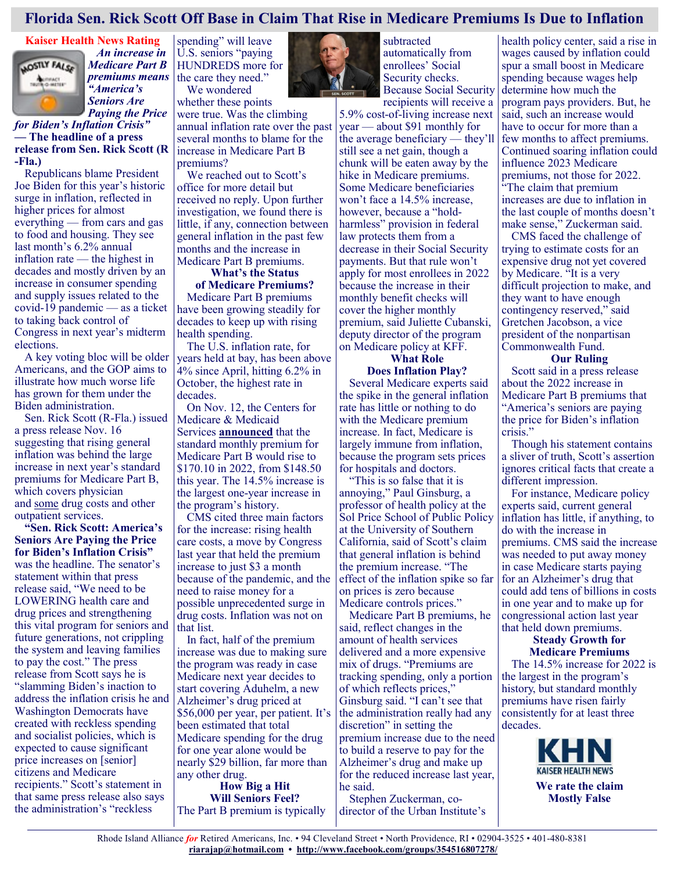## **Florida Sen. Rick Scott Off Base in Claim That Rise in Medicare Premiums Is Due to Inflation**

# **Kaiser Health News Rating**



 *An increase in Medicare Part B premiums means "America's Seniors Are* 

*Paying the Price for Biden's Inflation Crisis"* **— The headline of a press release from Sen. Rick Scott (R -Fla.)**

Republicans blame President Joe Biden for this year's historic surge in inflation, reflected in higher prices for almost everything — from cars and gas to food and housing. They see last month's 6.2% annual inflation rate — the highest in decades and mostly driven by an increase in consumer spending and supply issues related to the covid-19 pandemic — as a ticket to taking back control of Congress in next year's midterm elections.

A key voting bloc will be older Americans, and the GOP aims to illustrate how much worse life has grown for them under the Biden administration.

Sen. Rick Scott (R-Fla.) issued a press release Nov. 16 suggesting that rising general inflation was behind the large increase in next year's standard premiums for Medicare Part B, which covers physician and [some](https://www.medicare.gov/coverage/prescription-drugs-outpatient) drug costs and other outpatient services.

**"[Sen. Rick Scott: America's](https://www.rickscott.senate.gov/2021/11/sen-rick-scott-america-s-seniors-are-paying-the-price-for-biden-s-inflation-crisis)  [Seniors Are Paying the Price](https://www.rickscott.senate.gov/2021/11/sen-rick-scott-america-s-seniors-are-paying-the-price-for-biden-s-inflation-crisis)  [for Biden's Inflation Crisis"](https://www.rickscott.senate.gov/2021/11/sen-rick-scott-america-s-seniors-are-paying-the-price-for-biden-s-inflation-crisis)**  was the headline. The senator's statement within that press release said, "We need to be LOWERING health care and drug prices and strengthening this vital program for seniors and future generations, not crippling the system and leaving families to pay the cost." The press release from Scott says he is "slamming Biden's inaction to address the inflation crisis he and Washington Democrats have created with reckless spending and socialist policies, which is expected to cause significant price increases on [senior] citizens and Medicare recipients." Scott's statement in that same press release also says the administration's "reckless

spending" will leave U.S. seniors "paying HUNDREDS more for the care they need." We wondered

whether these points were true. Was the climbing annual inflation rate over the past several months to blame for the increase in Medicare Part B premiums?

We reached out to Scott's office for more detail but received no reply. Upon further investigation, we found there is little, if any, connection between general inflation in the past few months and the increase in Medicare Part B premiums.

#### **What's the Status of Medicare Premiums?**

Medicare Part B premiums have been growing steadily for decades to keep up with rising health spending.

The U.S. inflation rate, for years held at bay, has been above 4% since April, hitting 6.2% in October, the highest rate in decades.

On Nov. 12, the Centers for Medicare & Medicaid Services **[announced](https://www.cms.gov/newsroom/press-releases/cms-announces-2022-medicare-part-b-premiums)** that the standard monthly premium for Medicare Part B would rise to \$170.10 in 2022, from \$148.50 this year. The 14.5% increase is the largest one-year increase in the program's history.

CMS cited three main factors for the increase: rising health care costs, a move by Congress last year that held the premium increase to just \$3 a month because of the pandemic, and the need to raise money for a possible unprecedented surge in drug costs. Inflation was not on that list.

In fact, half of the premium increase was due to making sure the program was ready in case Medicare next year decides to start covering Aduhelm, a new Alzheimer's drug priced at \$56,000 per year, per patient. It's been estimated that total Medicare spending for the drug for one year alone would be nearly \$29 billion, far more than any other drug. **How Big a Hit**

**Will Seniors Feel?** The Part B premium is typically



subtracted automatically from enrollees' Social Security checks. Because Social Security recipients will receive a

5.9% cost-of-living increase next year — about \$91 monthly for the average beneficiary — they'll still see a net gain, though a chunk will be eaten away by the hike in Medicare premiums. Some Medicare beneficiaries won't face a 14.5% increase, however, because a "holdharmless" provision in federal law protects them from a decrease in their Social Security payments. But that rule won't apply for most enrollees in 2022 because the increase in their monthly benefit checks will cover the higher monthly premium, said Juliette Cubanski, deputy director of the program on Medicare policy at KFF.

## **What Role**

#### **Does Inflation Play?**

Several Medicare experts said the spike in the general inflation rate has little or nothing to do with the Medicare premium increase. In fact, Medicare is largely immune from inflation, because the program sets prices for hospitals and doctors.

"This is so false that it is annoying," Paul Ginsburg, a professor of health policy at the Sol Price School of Public Policy at the University of Southern California, said of Scott's claim that general inflation is behind the premium increase. "The effect of the inflation spike so far on prices is zero because Medicare controls prices."

Medicare Part B premiums, he said, reflect changes in the amount of health services delivered and a more expensive mix of drugs. "Premiums are tracking spending, only a portion of which reflects prices," Ginsburg said. "I can't see that the administration really had any discretion" in setting the premium increase due to the need to build a reserve to pay for the Alzheimer's drug and make up for the reduced increase last year, he said.

Stephen Zuckerman, codirector of the Urban Institute's

health policy center, said a rise in wages caused by inflation could spur a small boost in Medicare spending because wages help determine how much the program pays providers. But, he said, such an increase would have to occur for more than a few months to affect premiums. Continued soaring inflation could influence 2023 Medicare premiums, not those for 2022. "The claim that premium increases are due to inflation in the last couple of months doesn't make sense," Zuckerman said.

CMS faced the challenge of trying to estimate costs for an expensive drug not yet covered by Medicare. "It is a very difficult projection to make, and they want to have enough contingency reserved," said Gretchen Jacobson, a vice president of the nonpartisan Commonwealth Fund.

#### **Our Ruling**

Scott said in a press release about the 2022 increase in Medicare Part B premiums that "America's seniors are paying the price for Biden's inflation crisis."

Though his statement contains a sliver of truth, Scott's assertion ignores critical facts that create a different impression.

For instance, Medicare policy experts said, current general inflation has little, if anything, to do with the increase in premiums. CMS said the increase was needed to put away money in case Medicare starts paying for an Alzheimer's drug that could add tens of billions in costs in one year and to make up for congressional action last year that held down premiums.

## **Steady Growth for Medicare Premiums**

The 14.5% increase for 2022 is the largest in the program's history, but standard monthly premiums have risen fairly consistently for at least three decades.



**We rate the claim Mostly False**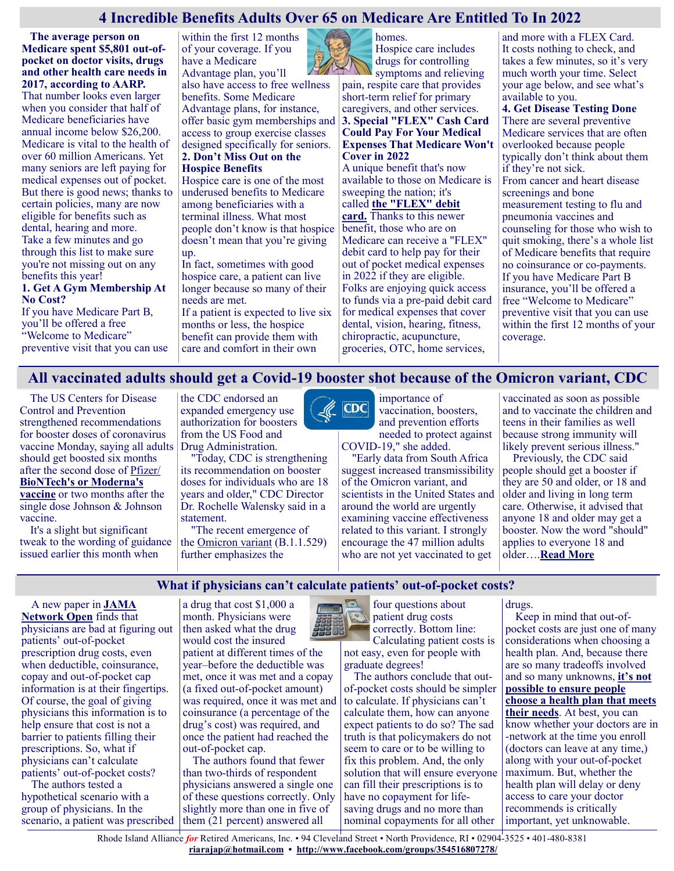## **4 Incredible Benefits Adults Over 65 on Medicare Are Entitled To In 2022**

 **The average person on Medicare spent \$5,801 out-ofpocket on doctor visits, drugs and other health care needs in 2017, according to AARP.**

That number looks even larger when you consider that half of Medicare beneficiaries have annual income below \$26,200. Medicare is vital to the health of over 60 million Americans. Yet many seniors are left paying for medical expenses out of pocket. But there is good news; thanks to certain policies, many are now eligible for benefits such as dental, hearing and more. Take a few minutes and go through this list to make sure you're not missing out on any benefits this year!

#### **1. Get A Gym Membership At No Cost?**

If you have Medicare Part B, you'll be offered a free "Welcome to Medicare" preventive visit that you can use within the first 12 months of your coverage. If you have a Medicare Advantage plan, you'll also have access to free wellness benefits. Some Medicare Advantage plans, for instance, offer basic gym memberships and access to group exercise classes designed specifically for seniors. **2. Don't Miss Out on the Hospice Benefits**

Hospice care is one of the most underused benefits to Medicare among beneficiaries with a terminal illness. What most people don't know is that hospice doesn't mean that you're giving up.

In fact, sometimes with good hospice care, a patient can live longer because so many of their needs are met.

If a patient is expected to live six months or less, the hospice benefit can provide them with care and comfort in their own

homes. Hospice care includes drugs for controlling

symptoms and relieving pain, respite care that provides short-term relief for primary caregivers, and other services. **3. Special "FLEX" Cash Card Could Pay For Your Medical Expenses That Medicare Won't Cover in 2022**

A unique benefit that's now available to those on Medicare is sweeping the nation; it's called **[the "FLEX" debit](https://comation-visonging.com/click/19?cep=B79heD4AwjFVWiosIhaCHPfPQAFWR5kj0cuT0TRdwuv6HsDY1ceQChOf8zyAAAzuUWey70N3LUWTYhX9JgHEQzMIl1JtxPYIONODya4sE7KXJY9pZbLCw4V9P1zIiJIqnxWJQCMNczlzPLgU9CBQpE62Hc13aINxZmpsCwmTbffSmg0nf9OFVcMBAzxtuuX7aZu6ufLaFDmFczdfxxOmdTn)  [card.](https://comation-visonging.com/click/19?cep=B79heD4AwjFVWiosIhaCHPfPQAFWR5kj0cuT0TRdwuv6HsDY1ceQChOf8zyAAAzuUWey70N3LUWTYhX9JgHEQzMIl1JtxPYIONODya4sE7KXJY9pZbLCw4V9P1zIiJIqnxWJQCMNczlzPLgU9CBQpE62Hc13aINxZmpsCwmTbffSmg0nf9OFVcMBAzxtuuX7aZu6ufLaFDmFczdfxxOmdTn)** Thanks to this newer benefit, those who are on Medicare can receive a "FLEX" debit card to help pay for their out of pocket medical expenses in 2022 if they are eligible. Folks are enjoying quick access to funds via a pre-paid debit card for medical expenses that cover dental, vision, hearing, fitness, chiropractic, acupuncture, groceries, OTC, home services,

and more with a FLEX Card. It costs nothing to check, and takes a few minutes, so it's very much worth your time. Select your age below, and see what's available to you.

**4. Get Disease Testing Done** There are several preventive Medicare services that are often overlooked because people typically don't think about them if they're not sick. From cancer and heart disease screenings and bone measurement testing to flu and pneumonia vaccines and counseling for those who wish to quit smoking, there's a whole list of Medicare benefits that require no coinsurance or co-payments. If you have Medicare Part B insurance, you'll be offered a free "Welcome to Medicare" preventive visit that you can use within the first 12 months of your coverage.

## **All vaccinated adults should get a Covid-19 booster shot because of the Omicron variant, CDC**

The US Centers for Disease Control and Prevention strengthened recommendations for booster doses of coronavirus vaccine Monday, saying all adults should get boosted six months after the second dose of [Pfizer/](http://www.cnn.com/2021/11/29/investing/vaccine-omicron-variant-covid-stocks/index.html) **[BioNTech's or Moderna's](http://www.cnn.com/2021/11/29/investing/vaccine-omicron-variant-covid-stocks/index.html)  [vaccine](http://www.cnn.com/2021/11/29/investing/vaccine-omicron-variant-covid-stocks/index.html)** or two months after the single dose Johnson & Johnson vaccine.

It's a slight but significant tweak to the wording of guidance issued earlier this month when

the CDC endorsed an expanded emergency use authorization for boosters from the US Food and Drug Administration.

"Today, CDC is strengthening its recommendation on booster doses for individuals who are 18 years and older," CDC Director Dr. Rochelle Walensky said in a statement.

"The recent emergence of the [Omicron variant](https://www.cnn.com/2021/11/26/health/omicron-variant-what-we-know/index.html) (B.1.1.529) further emphasizes the



importance of vaccination, boosters, and prevention efforts needed to protect against COVID-19," she added.

"Early data from South Africa suggest increased transmissibility of the Omicron variant, and scientists in the United States and around the world are urgently examining vaccine effectiveness related to this variant. I strongly encourage the 47 million adults who are not yet vaccinated to get

vaccinated as soon as possible and to vaccinate the children and teens in their families as well because strong immunity will likely prevent serious illness."

Previously, the CDC said people should get a booster if they are 50 and older, or 18 and older and living in long term care. Otherwise, it advised that anyone 18 and older may get a booster. Now the word "should" applies to everyone 18 and older….**[Read More](https://www.cnn.com/2021/11/29/health/cdc-booster-guidance-omicron/index.html)**

#### **What if physicians can't calculate patients' out-of-pocket costs?**

#### A new paper in **[JAMA](https://jamanetwork.com/journals/jamanetworkopen/fullarticle/2785905)**

**[Network Open](https://jamanetwork.com/journals/jamanetworkopen/fullarticle/2785905)** finds that physicians are bad at figuring out patients' out-of-pocket prescription drug costs, even when deductible, coinsurance, copay and out-of-pocket cap information is at their fingertips. Of course, the goal of giving physicians this information is to help ensure that cost is not a barrier to patients filling their prescriptions. So, what if physicians can't calculate patients' out-of-pocket costs?

The authors tested a hypothetical scenario with a group of physicians. In the scenario, a patient was prescribed a drug that cost \$1,000 a month. Physicians were then asked what the drug would cost the insured

patient at different times of the year–before the deductible was met, once it was met and a copay (a fixed out-of-pocket amount) was required, once it was met and coinsurance (a percentage of the drug's cost) was required, and once the patient had reached the out-of-pocket cap.

The authors found that fewer than two-thirds of respondent physicians answered a single one of these questions correctly. Only slightly more than one in five of them (21 percent) answered all

four questions about patient drug costs

correctly. Bottom line: Calculating patient costs is not easy, even for people with

graduate degrees!

The authors conclude that outof-pocket costs should be simpler to calculate. If physicians can't calculate them, how can anyone expect patients to do so? The sad truth is that policymakers do not seem to care or to be willing to fix this problem. And, the only solution that will ensure everyone can fill their prescriptions is to have no copayment for lifesaving drugs and no more than nominal copayments for all other

drugs.

Keep in mind that out-ofpocket costs are just one of many considerations when choosing a health plan. And, because there are so many tradeoffs involved and so many unknowns, **[it's not](https://justcareusa.org/three-reasons-why-you-cant-choose-a-health-plan-thats-right-for-you/)  [possible to ensure people](https://justcareusa.org/three-reasons-why-you-cant-choose-a-health-plan-thats-right-for-you/)  [choose a health plan that meets](https://justcareusa.org/three-reasons-why-you-cant-choose-a-health-plan-thats-right-for-you/)  [their needs](https://justcareusa.org/three-reasons-why-you-cant-choose-a-health-plan-thats-right-for-you/)**. At best, you can know whether your doctors are in -network at the time you enroll (doctors can leave at any time,) along with your out-of-pocket maximum. But, whether the health plan will delay or deny access to care your doctor recommends is critically important, yet unknowable.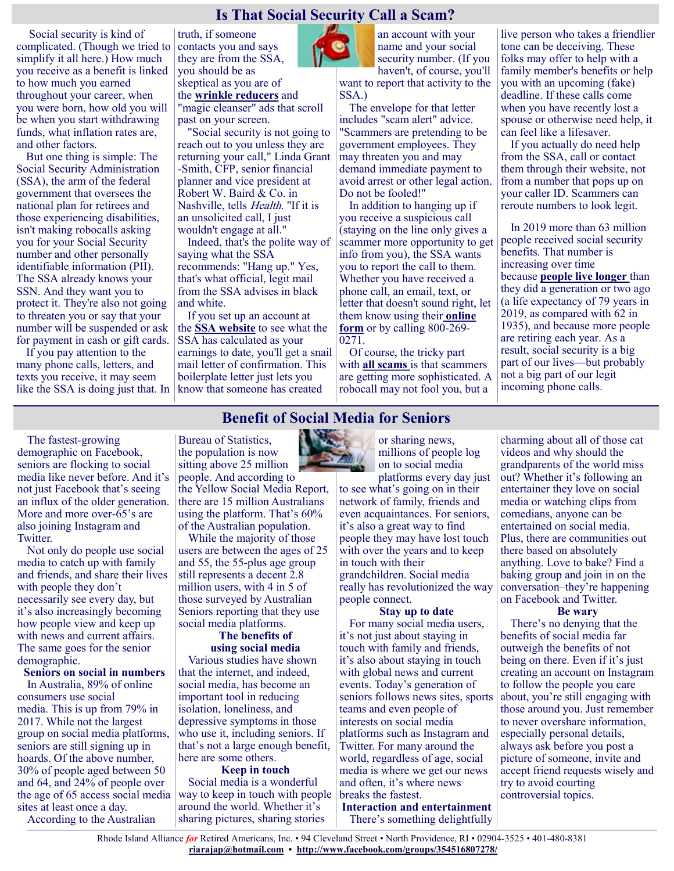## **Is That Social Security Call a Scam?**

Social security is kind of complicated. (Though we tried to simplify it all here.) How much you receive as a benefit is linked to how much you earned throughout your career, when you were born, how old you will be when you start withdrawing funds, what inflation rates are, and other factors.

But one thing is simple: The Social Security Administration (SSA), the arm of the federal government that oversees the national plan for retirees and those experiencing disabilities, isn't making robocalls asking you for your Social Security number and other personally identifiable information (PII). The SSA already knows your SSN. And they want you to protect it. They're also not going to threaten you or say that your number will be suspended or ask for payment in cash or gift cards.

If you pay attention to the many phone calls, letters, and texts you receive, it may seem like the SSA is doing just that. In

truth, if someone contacts you and says they are from the SSA, you should be as skeptical as you are of the **[wrinkle reducers](https://www.health.com/beauty/prevent-wrinkles-overnight)** and "magic cleanser" ads that scroll past on your screen.

"Social security is not going to reach out to you unless they are returning your call," Linda Grant -Smith, CFP, senior financial planner and vice president at Robert W. Baird & Co. in Nashville, tells Health. "If it is an unsolicited call, I just wouldn't engage at all."

Indeed, that's the polite way of saying what the SSA recommends: "Hang up." Yes, that's what official, legit mail from the SSA advises in black and white.

If you set up an account at the **[SSA website](https://www.ssa.gov/)** to see what the SSA has calculated as your earnings to date, you'll get a snail mail letter of confirmation. This boilerplate letter just lets you know that someone has created



an account with your name and your social security number. (If you haven't, of course, you'll

want to report that activity to the SSA.)

The envelope for that letter includes "scam alert" advice. "Scammers are pretending to be government employees. They may threaten you and may demand immediate payment to avoid arrest or other legal action. Do not be fooled!"

In addition to hanging up if you receive a suspicious call (staying on the line only gives a scammer more opportunity to get info from you), the SSA wants you to report the call to them. Whether you have received a phone call, an email, text, or letter that doesn't sound right, let them know using their **[online](https://oig.ssa.gov/report/)  [form](https://oig.ssa.gov/report/)** or by calling 800-269- 0271.

Of course, the tricky part with **[all scams](https://www.realsimple.com/work-life/money/spending/extended-car-warranty-offer-scam)** is that scammers are getting more sophisticated. A robocall may not fool you, but a

live person who takes a friendlier tone can be deceiving. These folks may offer to help with a family member's benefits or help you with an upcoming (fake) deadline. If these calls come when you have recently lost a spouse or otherwise need help, it can feel like a lifesaver.

If you actually do need help from the SSA, call or contact them through their website, not from a number that pops up on your caller ID. Scammers can reroute numbers to look legit.

In 2019 more than 63 million people received social security benefits. That number is increasing over time because **[people live longer](https://www.health.com/mind-body/21-reasons-youll-live-longer-than-your-friends)** than they did a generation or two ago (a life expectancy of 79 years in 2019, as compared with 62 in 1935), and because more people are retiring each year. As a result, social security is a big part of our lives—but probably not a big part of our legit incoming phone calls.

## **Benefit of Social Media for Seniors**

The fastest-growing demographic on Facebook, seniors are flocking to social media like never before. And it's not just Facebook that's seeing an influx of the older generation. More and more over-65's are also joining Instagram and Twitter.

Not only do people use social media to catch up with family and friends, and share their lives with people they don't necessarily see every day, but it's also increasingly becoming how people view and keep up with news and current affairs. The same goes for the senior demographic.

#### **Seniors on social in numbers**

In Australia, 89% of online consumers use social media. This is up from 79% in 2017. While not the largest group on social media platforms, seniors are still signing up in hoards. Of the above number, 30% of people aged between 50 and 64, and 24% of people over the age of 65 access social media sites at least once a day.

According to the Australian

Bureau of Statistics, the population is now sitting above 25 million people. And according to the Yellow Social Media Report, there are 15 million Australians using the platform. That's 60% of the Australian population.

While the majority of those users are between the ages of 25 and 55, the 55-plus age group still represents a decent 2.8 million users, with 4 in 5 of those surveyed by Australian Seniors reporting that they use social media platforms.

#### **The benefits of using social media**

Various studies have shown that the internet, and indeed, social media, has become an important tool in reducing isolation, loneliness, and depressive symptoms in those who use it, including seniors. If that's not a large enough benefit, here are some others.

#### **Keep in touch**

Social media is a wonderful way to keep in touch with people around the world. Whether it's sharing pictures, sharing stories

or sharing news, millions of people log on to social media

platforms every day just to see what's going on in their network of family, friends and even acquaintances. For seniors, it's also a great way to find people they may have lost touch with over the years and to keep in touch with their grandchildren. Social media really has revolutionized the way people connect.

#### **Stay up to date**

For many social media users, it's not just about staying in touch with family and friends, it's also about staying in touch with global news and current events. Today's generation of seniors follows news sites, sports teams and even people of interests on social media platforms such as Instagram and Twitter. For many around the world, regardless of age, social media is where we get our news and often, it's where news breaks the fastest.

**Interaction and entertainment** There's something delightfully charming about all of those cat videos and why should the grandparents of the world miss out? Whether it's following an entertainer they love on social media or watching clips from comedians, anyone can be entertained on social media. Plus, there are communities out there based on absolutely anything. Love to bake? Find a baking group and join in on the conversation–they're happening on Facebook and Twitter.

#### **Be wary**

There's no denying that the benefits of social media far outweigh the benefits of not being on there. Even if it's just creating an account on Instagram to follow the people you care about, you're still engaging with those around you. Just remember to never overshare information, especially personal details, always ask before you post a picture of someone, invite and accept friend requests wisely and try to avoid courting controversial topics.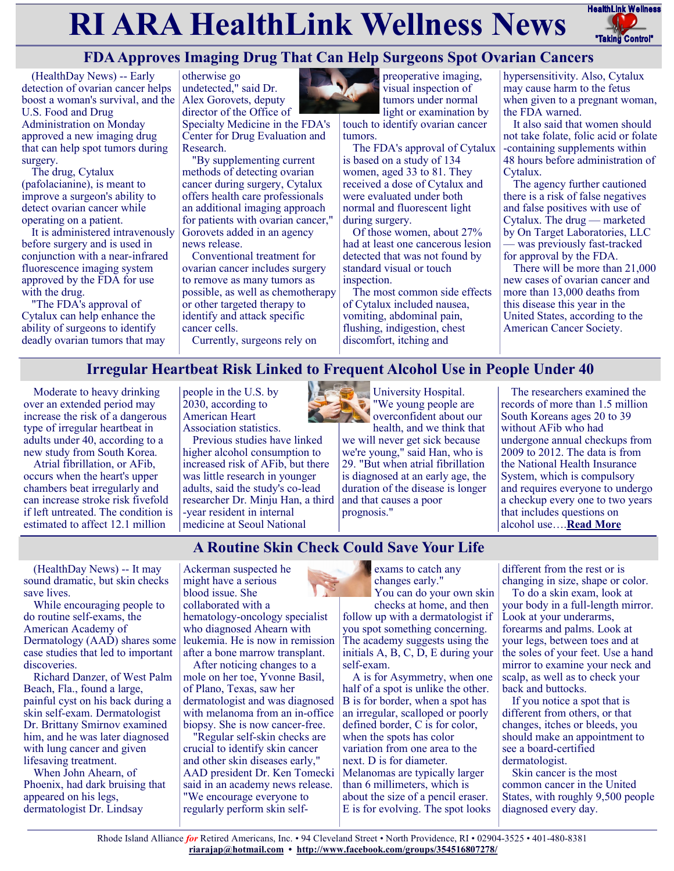# **RI ARA HealthLink Wellness News** HealthLink Wellness



# **FDA Approves Imaging Drug That Can Help Surgeons Spot Ovarian Cancers**

(HealthDay News) -- Early detection of ovarian cancer helps boost a woman's survival, and the Alex Gorovets, deputy U.S. Food and Drug Administration on Monday approved a new imaging drug that can help spot tumors during surgery.

The drug, Cytalux (pafolacianine), is meant to improve a surgeon's ability to detect ovarian cancer while operating on a patient.

It is administered intravenously before surgery and is used in conjunction with a near-infrared fluorescence imaging system approved by the FDA for use with the drug.

"The FDA's approval of Cytalux can help enhance the ability of surgeons to identify deadly ovarian tumors that may



Specialty Medicine in the FDA's Center for Drug Evaluation and Research.

"By supplementing current methods of detecting ovarian cancer during surgery, Cytalux offers health care professionals an additional imaging approach for patients with ovarian cancer," Gorovets added in an agency news release.

Conventional treatment for ovarian cancer includes surgery to remove as many tumors as possible, as well as chemotherapy or other targeted therapy to identify and attack specific cancer cells.

Currently, surgeons rely on



preoperative imaging, visual inspection of tumors under normal light or examination by

touch to identify ovarian cancer tumors.

The FDA's approval of Cytalux is based on a study of 134 women, aged 33 to 81. They received a dose of Cytalux and were evaluated under both normal and fluorescent light during surgery.

Of those women, about 27% had at least one cancerous lesion detected that was not found by standard visual or touch inspection.

The most common side effects of Cytalux included nausea, vomiting, abdominal pain, flushing, indigestion, chest discomfort, itching and

hypersensitivity. Also, Cytalux may cause harm to the fetus when given to a pregnant woman, the FDA warned.

It also said that women should not take folate, folic acid or folate -containing supplements within 48 hours before administration of Cytalux.

The agency further cautioned there is a risk of false negatives and false positives with use of Cytalux. The drug — marketed by On Target Laboratories, LLC — was previously fast-tracked for approval by the FDA.

There will be more than 21,000 new cases of ovarian cancer and more than 13,000 deaths from this disease this year in the United States, according to the American Cancer Society.

## **Irregular Heartbeat Risk Linked to Frequent Alcohol Use in People Under 40**

Moderate to heavy drinking over an extended period may increase the risk of a dangerous type of irregular heartbeat in adults under 40, according to a new study from South Korea.

Atrial fibrillation, or AFib, occurs when the heart's upper chambers beat irregularly and can increase stroke risk fivefold if left untreated. The condition is estimated to affect 12.1 million

people in the U.S. by 2030, according to American Heart Association statistics.

Previous studies have linked higher alcohol consumption to increased risk of AFib, but there was little research in younger adults, said the study's co-lead researcher Dr. Minju Han, a third -year resident in internal medicine at Seoul National



University Hospital. "We young people are overconfident about our

health, and we think that we will never get sick because we're young," said Han, who is 29. "But when atrial fibrillation is diagnosed at an early age, the duration of the disease is longer and that causes a poor prognosis."

The researchers examined the records of more than 1.5 million South Koreans ages 20 to 39 without AFib who had undergone annual checkups from 2009 to 2012. The data is from the National Health Insurance System, which is compulsory and requires everyone to undergo a checkup every one to two years that includes questions on alcohol use….**[Read More](https://consumer.healthday.com/aha-news-irregular-heartbeat-risk-linked-to-frequent-alcohol-use-in-people-under-40-2655887077.html)**

## **A Routine Skin Check Could Save Your Life**

(HealthDay News) -- It may sound dramatic, but skin checks save lives.

While encouraging people to do routine self-exams, the American Academy of Dermatology (AAD) shares some case studies that led to important discoveries.

Richard Danzer, of West Palm Beach, Fla., found a large, painful cyst on his back during a skin self-exam. Dermatologist Dr. Brittany Smirnov examined him, and he was later diagnosed with lung cancer and given lifesaving treatment.

When John Ahearn, of Phoenix, had dark bruising that appeared on his legs, dermatologist Dr. Lindsay

Ackerman suspected he might have a serious blood issue. She collaborated with a hematology-oncology specialist who diagnosed Ahearn with leukemia. He is now in remission after a bone marrow transplant.

After noticing changes to a mole on her toe, Yvonne Basil, of Plano, Texas, saw her dermatologist and was diagnosed with melanoma from an in-office biopsy. She is now cancer-free.

"Regular self-skin checks are crucial to identify skin cancer and other skin diseases early," AAD president Dr. Ken Tomecki said in an academy news release. "We encourage everyone to regularly perform skin selfexams to catch any changes early." You can do your own skin checks at home, and then

follow up with a dermatologist if you spot something concerning. The academy suggests using the initials A, B, C, D, E during your self-exam.

A is for Asymmetry, when one half of a spot is unlike the other. B is for border, when a spot has an irregular, scalloped or poorly defined border, C is for color, when the spots has color variation from one area to the next. D is for diameter. Melanomas are typically larger than 6 millimeters, which is about the size of a pencil eraser. E is for evolving. The spot looks

different from the rest or is changing in size, shape or color.

To do a skin exam, look at your body in a full-length mirror. Look at your underarms, forearms and palms. Look at your legs, between toes and at the soles of your feet. Use a hand mirror to examine your neck and scalp, as well as to check your back and buttocks.

If you notice a spot that is different from others, or that changes, itches or bleeds, you should make an appointment to see a board-certified dermatologist.

Skin cancer is the most common cancer in the United States, with roughly 9,500 people diagnosed every day.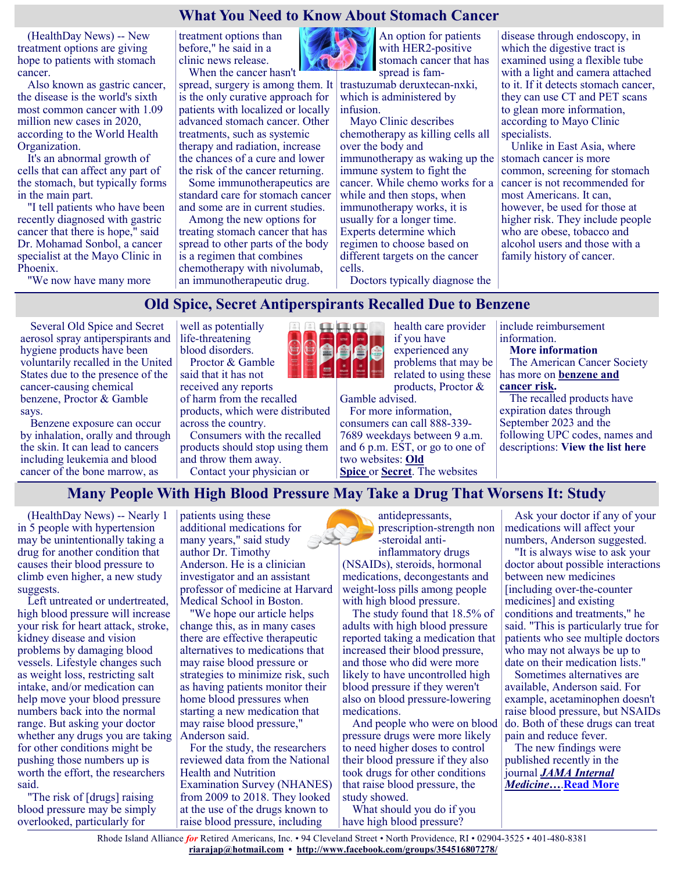## **What You Need to Know About Stomach Cancer**

(HealthDay News) -- New treatment options are giving hope to patients with stomach cancer.

Also known as gastric cancer, the disease is the world's sixth most common cancer with 1.09 million new cases in 2020, according to the World Health Organization.

It's an abnormal growth of cells that can affect any part of the stomach, but typically forms in the main part.

"I tell patients who have been recently diagnosed with gastric cancer that there is hope," said Dr. Mohamad Sonbol, a cancer specialist at the Mayo Clinic in Phoenix.

"We now have many more

treatment options than before," he said in a clinic news release. When the cancer hasn't

spread, surgery is among them. It is the only curative approach for patients with localized or locally advanced stomach cancer. Other treatments, such as systemic therapy and radiation, increase the chances of a cure and lower the risk of the cancer returning. Some immunotherapeutics are

standard care for stomach cancer and some are in current studies.

Among the new options for treating stomach cancer that has spread to other parts of the body is a regimen that combines chemotherapy with nivolumab, an immunotherapeutic drug.



An option for patients with HER2-positive stomach cancer that has spread is fam-

trastuzumab deruxtecan-nxki, which is administered by infusion.

Mayo Clinic describes chemotherapy as killing cells all over the body and immunotherapy as waking up the immune system to fight the cancer. While chemo works for a while and then stops, when immunotherapy works, it is usually for a longer time. Experts determine which regimen to choose based on different targets on the cancer cells.

Doctors typically diagnose the

disease through endoscopy, in which the digestive tract is examined using a flexible tube with a light and camera attached to it. If it detects stomach cancer, they can use CT and PET scans to glean more information, according to Mayo Clinic specialists.

Unlike in East Asia, where stomach cancer is more common, screening for stomach cancer is not recommended for most Americans. It can, however, be used for those at higher risk. They include people who are obese, tobacco and alcohol users and those with a family history of cancer.

## **Old Spice, Secret Antiperspirants Recalled Due to Benzene**

Several Old Spice and Secret aerosol spray antiperspirants and hygiene products have been voluntarily recalled in the United States due to the presence of the cancer-causing chemical benzene, Proctor & Gamble says.

Benzene exposure can occur by inhalation, orally and through the skin. It can lead to cancers including leukemia and blood cancer of the bone marrow, as

well as potentially life-threatening blood disorders. Proctor & Gamble

said that it has not received any reports of harm from the recalled products, which were distributed across the country.

Consumers with the recalled products should stop using them and throw them away. Contact your physician or



health care provider if you have experienced any problems that may be related to using these products, Proctor &

Gamble advised.

For more information, consumers can call 888-339- 7689 weekdays between 9 a.m. and 6 p.m. EST, or go to one of two websites: **[Old](https://oldspice.com/en-us/aerosolrecall)  [Spice](https://oldspice.com/en-us/aerosolrecall)** or **[Secret](https://secret.com/en-us/aerosol-recall)**. The websites

include reimbursement information. **More information** The American Cancer Society has more on **[benzene and](https://www.cancer.org/cancer/cancer-causes/benzene.html)  [cancer risk.](https://www.cancer.org/cancer/cancer-causes/benzene.html)**

The recalled products have expiration dates through September 2023 and the following UPC codes, names and descriptions: **[View the list here](https://consumer.healthday.com/b-11-30-2655882604.html)**

## **Many People With High Blood Pressure May Take a Drug That Worsens It: Study**

(HealthDay News) -- Nearly 1 in 5 people with hypertension may be unintentionally taking a drug for another condition that causes their blood pressure to climb even higher, a new study suggests.

Left untreated or undertreated, high blood pressure will increase your risk for heart attack, stroke, kidney disease and vision problems by damaging blood vessels. Lifestyle changes such as weight loss, restricting salt intake, and/or medication can help move your blood pressure numbers back into the normal range. But asking your doctor whether any drugs you are taking for other conditions might be pushing those numbers up is worth the effort, the researchers said.

"The risk of [drugs] raising blood pressure may be simply overlooked, particularly for

patients using these additional medications for many years," said study author Dr. Timothy Anderson. He is a clinician investigator and an assistant professor of medicine at Harvard Medical School in Boston.

"We hope our article helps change this, as in many cases there are effective therapeutic alternatives to medications that may raise blood pressure or strategies to minimize risk, such as having patients monitor their home blood pressures when starting a new medication that may raise blood pressure," Anderson said.

For the study, the researchers reviewed data from the National Health and Nutrition Examination Survey (NHANES) from 2009 to 2018. They looked at the use of the drugs known to raise blood pressure, including

antidepressants, prescription-strength non -steroidal antiinflammatory drugs

(NSAIDs), steroids, hormonal medications, decongestants and weight-loss pills among people with high blood pressure.

The study found that 18.5% of adults with high blood pressure reported taking a medication that increased their blood pressure, and those who did were more likely to have uncontrolled high blood pressure if they weren't also on blood pressure-lowering medications.

And people who were on blood pressure drugs were more likely to need higher doses to control their blood pressure if they also took drugs for other conditions that raise blood pressure, the study showed.

What should you do if you have high blood pressure?

Ask your doctor if any of your medications will affect your numbers, Anderson suggested.

"It is always wise to ask your doctor about possible interactions between new medicines [including over-the-counter medicines] and existing conditions and treatments," he said. "This is particularly true for patients who see multiple doctors who may not always be up to date on their medication lists."

Sometimes alternatives are available, Anderson said. For example, acetaminophen doesn't raise blood pressure, but NSAIDs do. Both of these drugs can treat pain and reduce fever.

The new findings were published recently in the journal *[JAMA Internal](https://jamanetwork.com/journals/jamainternalmedicine/article-abstract/2786014#:~:text=In%20total%2C%2014.9%25%20(95,with%20hypertension%20(Table%201).)  [Medicine](https://jamanetwork.com/journals/jamainternalmedicine/article-abstract/2786014#:~:text=In%20total%2C%2014.9%25%20(95,with%20hypertension%20(Table%201).)***…**.**[Read More](https://consumer.healthday.com/11-24-many-people-with-high-blood-pressure-take-a-drug-that-worsens-it-study-2655764436.html)**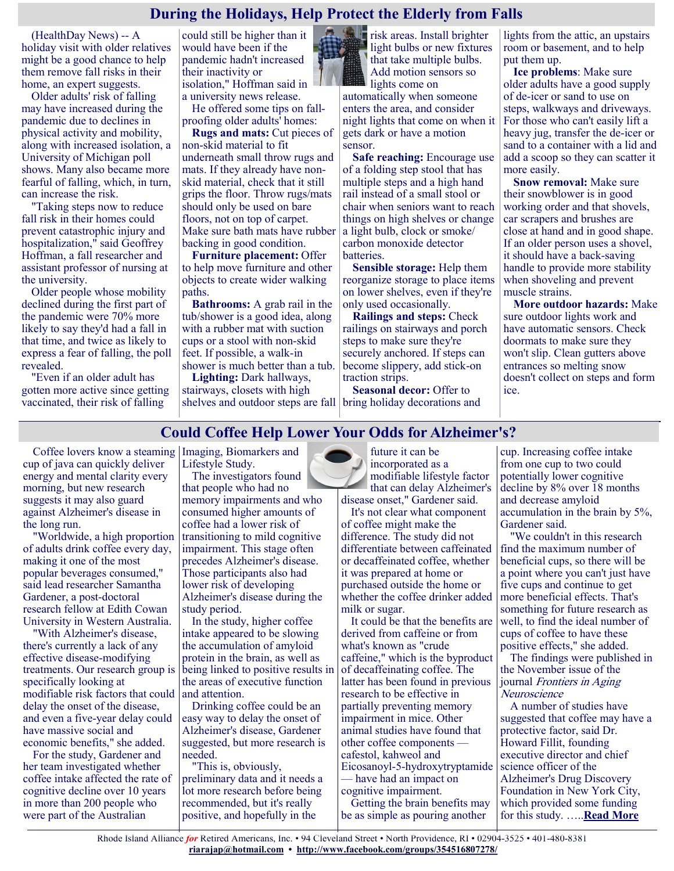## **During the Holidays, Help Protect the Elderly from Falls**

(HealthDay News) -- A holiday visit with older relatives might be a good chance to help them remove fall risks in their home, an expert suggests.

Older adults' risk of falling may have increased during the pandemic due to declines in physical activity and mobility, along with increased isolation, a University of Michigan poll shows. Many also became more fearful of falling, which, in turn, can increase the risk.

"Taking steps now to reduce fall risk in their homes could prevent catastrophic injury and hospitalization," said Geoffrey Hoffman, a fall researcher and assistant professor of nursing at the university.

Older people whose mobility declined during the first part of the pandemic were 70% more likely to say they'd had a fall in that time, and twice as likely to express a fear of falling, the poll revealed.

"Even if an older adult has gotten more active since getting vaccinated, their risk of falling

could still be higher than it would have been if the pandemic hadn't increased their inactivity or isolation," Hoffman said in a university news release.

He offered some tips on fallproofing older adults' homes:

**Rugs and mats:** Cut pieces of non-skid material to fit underneath small throw rugs and mats. If they already have nonskid material, check that it still grips the floor. Throw rugs/mats should only be used on bare floors, not on top of carpet. Make sure bath mats have rubber backing in good condition.

**Furniture placement:** Offer to help move furniture and other objects to create wider walking paths.

**Bathrooms:** A grab rail in the tub/shower is a good idea, along with a rubber mat with suction cups or a stool with non-skid feet. If possible, a walk-in shower is much better than a tub.

**Lighting:** Dark hallways, stairways, closets with high

risk areas. Install brighter light bulbs or new fixtures that take multiple bulbs. Add motion sensors so lights come on

automatically when someone enters the area, and consider night lights that come on when it gets dark or have a motion sensor.

**Safe reaching:** Encourage use of a folding step stool that has multiple steps and a high hand rail instead of a small stool or chair when seniors want to reach things on high shelves or change a light bulb, clock or smoke/ carbon monoxide detector batteries.

**Sensible storage:** Help them reorganize storage to place items on lower shelves, even if they're only used occasionally.

**Railings and steps:** Check railings on stairways and porch steps to make sure they're securely anchored. If steps can become slippery, add stick-on traction strips.

shelves and outdoor steps are fall bring holiday decorations and **Seasonal decor:** Offer to

lights from the attic, an upstairs room or basement, and to help put them up.

**Ice problems**: Make sure older adults have a good supply of de-icer or sand to use on steps, walkways and driveways. For those who can't easily lift a heavy jug, transfer the de-icer or sand to a container with a lid and add a scoop so they can scatter it more easily.

**Snow removal:** Make sure their snowblower is in good working order and that shovels, car scrapers and brushes are close at hand and in good shape. If an older person uses a shovel, it should have a back-saving handle to provide more stability when shoveling and prevent muscle strains.

**More outdoor hazards:** Make sure outdoor lights work and have automatic sensors. Check doormats to make sure they won't slip. Clean gutters above entrances so melting snow doesn't collect on steps and form ice.

# **Could Coffee Help Lower Your Odds for Alzheimer's?**

Coffee lovers know a steaming Imaging, Biomarkers and cup of java can quickly deliver energy and mental clarity every morning, but new research suggests it may also guard against Alzheimer's disease in the long run.

"Worldwide, a high proportion of adults drink coffee every day, making it one of the most popular beverages consumed," said lead researcher Samantha Gardener, a post-doctoral research fellow at Edith Cowan University in Western Australia.

"With Alzheimer's disease, there's currently a lack of any effective disease-modifying treatments. Our research group is specifically looking at modifiable risk factors that could delay the onset of the disease, and even a five-year delay could have massive social and economic benefits," she added.

For the study, Gardener and her team investigated whether coffee intake affected the rate of cognitive decline over 10 years in more than 200 people who were part of the Australian

Lifestyle Study.

The investigators found that people who had no memory impairments and who consumed higher amounts of coffee had a lower risk of transitioning to mild cognitive impairment. This stage often precedes Alzheimer's disease. Those participants also had lower risk of developing Alzheimer's disease during the study period.

In the study, higher coffee intake appeared to be slowing the accumulation of amyloid protein in the brain, as well as being linked to positive results in the areas of executive function and attention.

Drinking coffee could be an easy way to delay the onset of Alzheimer's disease, Gardener suggested, but more research is needed.

"This is, obviously, preliminary data and it needs a lot more research before being recommended, but it's really positive, and hopefully in the

future it can be incorporated as a modifiable lifestyle factor that can delay Alzheimer's disease onset," Gardener said.

It's not clear what component of coffee might make the difference. The study did not differentiate between caffeinated or decaffeinated coffee, whether it was prepared at home or purchased outside the home or whether the coffee drinker added milk or sugar.

It could be that the benefits are derived from caffeine or from what's known as "crude caffeine," which is the byproduct of decaffeinating coffee. The latter has been found in previous research to be effective in partially preventing memory impairment in mice. Other animal studies have found that other coffee components cafestol, kahweol and Eicosanoyl-5-hydroxytryptamide — have had an impact on

cognitive impairment.

Getting the brain benefits may be as simple as pouring another

cup. Increasing coffee intake from one cup to two could potentially lower cognitive decline by 8% over 18 months and decrease amyloid accumulation in the brain by 5%, Gardener said.

"We couldn't in this research find the maximum number of beneficial cups, so there will be a point where you can't just have five cups and continue to get more beneficial effects. That's something for future research as well, to find the ideal number of cups of coffee to have these positive effects," she added.

The findings were published in the November issue of the journal [Frontiers in Aging](https://www.frontiersin.org/articles/10.3389/fnagi.2021.744872/full)  **[Neuroscience](https://www.frontiersin.org/articles/10.3389/fnagi.2021.744872/full)** 

A number of studies have suggested that coffee may have a protective factor, said Dr. Howard Fillit, founding executive director and chief science officer of the Alzheimer's Drug Discovery Foundation in New York City, which provided some funding for this study. …..**[Read More](https://consumer.healthday.com/12-1-could-coffee-help-lower-your-odds-for-alzheimer-s-2655782987.html)**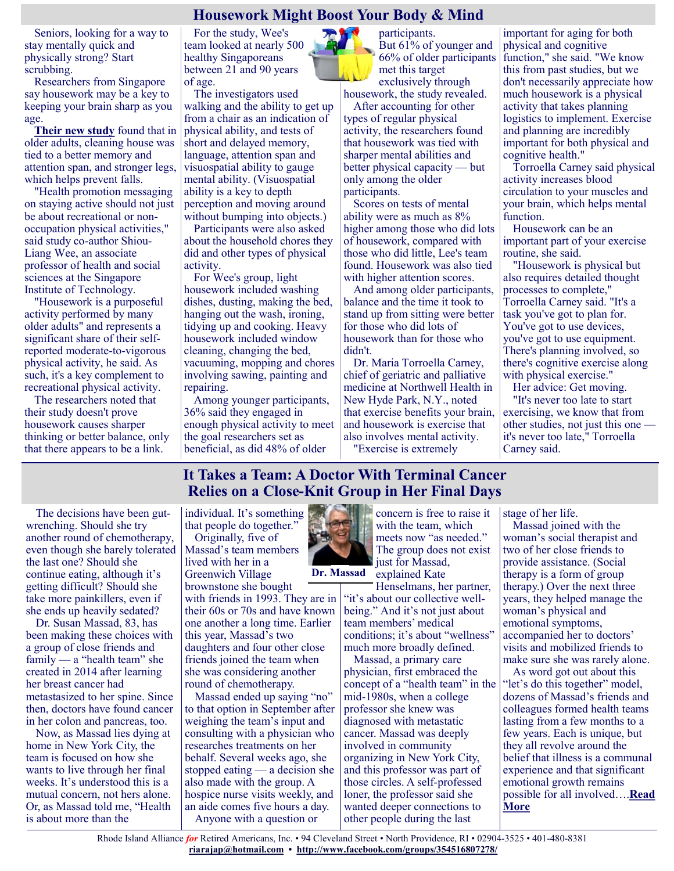## **Housework Might Boost Your Body & Mind**

Seniors, looking for a way to stay mentally quick and physically strong? Start scrubbing.

Researchers from Singapore say housework may be a key to keeping your brain sharp as you age.

**[Their new study](https://bmjopen.bmj.com/lookup/doi/10.1136/bmjopen-2021-052557)** found that in older adults, cleaning house was tied to a better memory and attention span, and stronger legs, which helps prevent falls.

"Health promotion messaging on staying active should not just be about recreational or nonoccupation physical activities," said study co-author Shiou-Liang Wee, an associate professor of health and social sciences at the Singapore Institute of Technology.

"Housework is a purposeful activity performed by many older adults" and represents a significant share of their selfreported moderate-to-vigorous physical activity, he said. As such, it's a key complement to recreational physical activity.

The researchers noted that their study doesn't prove housework causes sharper thinking or better balance, only that there appears to be a link.

For the study, Wee's team looked at nearly 500 healthy Singaporeans between 21 and 90 years of age.

The investigators used walking and the ability to get up from a chair as an indication of physical ability, and tests of short and delayed memory, language, attention span and visuospatial ability to gauge mental ability. (Visuospatial ability is a key to depth perception and moving around without bumping into objects.)

Participants were also asked about the household chores they did and other types of physical activity.

For Wee's group, light housework included washing dishes, dusting, making the bed, hanging out the wash, ironing, tidying up and cooking. Heavy housework included window cleaning, changing the bed, vacuuming, mopping and chores involving sawing, painting and repairing.

Among younger participants, 36% said they engaged in enough physical activity to meet the goal researchers set as beneficial, as did 48% of older

participants. But 61% of younger and 66% of older participants met this target exclusively through

housework, the study revealed. After accounting for other types of regular physical activity, the researchers found that housework was tied with sharper mental abilities and better physical capacity — but only among the older participants.

Scores on tests of mental ability were as much as 8% higher among those who did lots of housework, compared with those who did little, Lee's team found. Housework was also tied with higher attention scores.

And among older participants, balance and the time it took to stand up from sitting were better for those who did lots of housework than for those who didn't.

Dr. Maria Torroella Carney, chief of geriatric and palliative medicine at Northwell Health in New Hyde Park, N.Y., noted that exercise benefits your brain, and housework is exercise that also involves mental activity.

"Exercise is extremely

important for aging for both physical and cognitive function," she said. "We know this from past studies, but we don't necessarily appreciate how much housework is a physical activity that takes planning logistics to implement. Exercise and planning are incredibly important for both physical and cognitive health."

Torroella Carney said physical activity increases blood circulation to your muscles and your brain, which helps mental function.

Housework can be an important part of your exercise routine, she said.

"Housework is physical but also requires detailed thought processes to complete," Torroella Carney said. "It's a task you've got to plan for. You've got to use devices, you've got to use equipment. There's planning involved, so there's cognitive exercise along with physical exercise."

Her advice: Get moving. "It's never too late to start exercising, we know that from other studies, not just this one it's never too late," Torroella Carney said.

## **It Takes a Team: A Doctor With Terminal Cancer Relies on a Close-Knit Group in Her Final Days**

The decisions have been gutwrenching. Should she try another round of chemotherapy, even though she barely tolerated the last one? Should she continue eating, although it's getting difficult? Should she take more painkillers, even if she ends up heavily sedated?

Dr. Susan Massad, 83, has been making these choices with a group of close friends and family — a "health team" she created in 2014 after learning her breast cancer had metastasized to her spine. Since then, doctors have found cancer in her colon and pancreas, too.

Now, as Massad lies dying at home in New York City, the team is focused on how she wants to live through her final weeks. It's understood this is a mutual concern, not hers alone. Or, as Massad told me, "Health is about more than the

individual. It's something that people do together."

Originally, five of Massad's team members lived with her in a Greenwich Village brownstone she bought

with friends in 1993. They are in their 60s or 70s and have known one another a long time. Earlier this year, Massad's two daughters and four other close friends joined the team when she was considering another round of chemotherapy.

Massad ended up saying "no" to that option in September after weighing the team's input and consulting with a physician who researches treatments on her behalf. Several weeks ago, she stopped eating — a decision she also made with the group. A hospice nurse visits weekly, and an aide comes five hours a day. Anyone with a question or



**Dr. Massad**

Henselmans, her partner, "it's about our collective wellbeing." And it's not just about team members' medical conditions; it's about "wellness" much more broadly defined.

Massad, a primary care physician, first embraced the concept of a "health team" in the mid-1980s, when a college professor she knew was diagnosed with metastatic cancer. Massad was deeply involved in community organizing in New York City, and this professor was part of those circles. A self-professed loner, the professor said she wanted deeper connections to other people during the last

stage of her life.

Massad joined with the woman's social therapist and two of her close friends to provide assistance. (Social therapy is a form of group therapy.) Over the next three years, they helped manage the woman's physical and emotional symptoms, accompanied her to doctors' visits and mobilized friends to make sure she was rarely alone.

As word got out about this "let's do this together" model, dozens of Massad's friends and colleagues formed health teams lasting from a few months to a few years. Each is unique, but they all revolve around the belief that illness is a communal experience and that significant emotional growth remains possible for all involved….**[Read](https://khn.org/news/article/it-takes-a-team-a-doctor-with-terminal-cancer-relies-on-a-close-knit-group-in-her-final-days/)  [More](https://khn.org/news/article/it-takes-a-team-a-doctor-with-terminal-cancer-relies-on-a-close-knit-group-in-her-final-days/)**